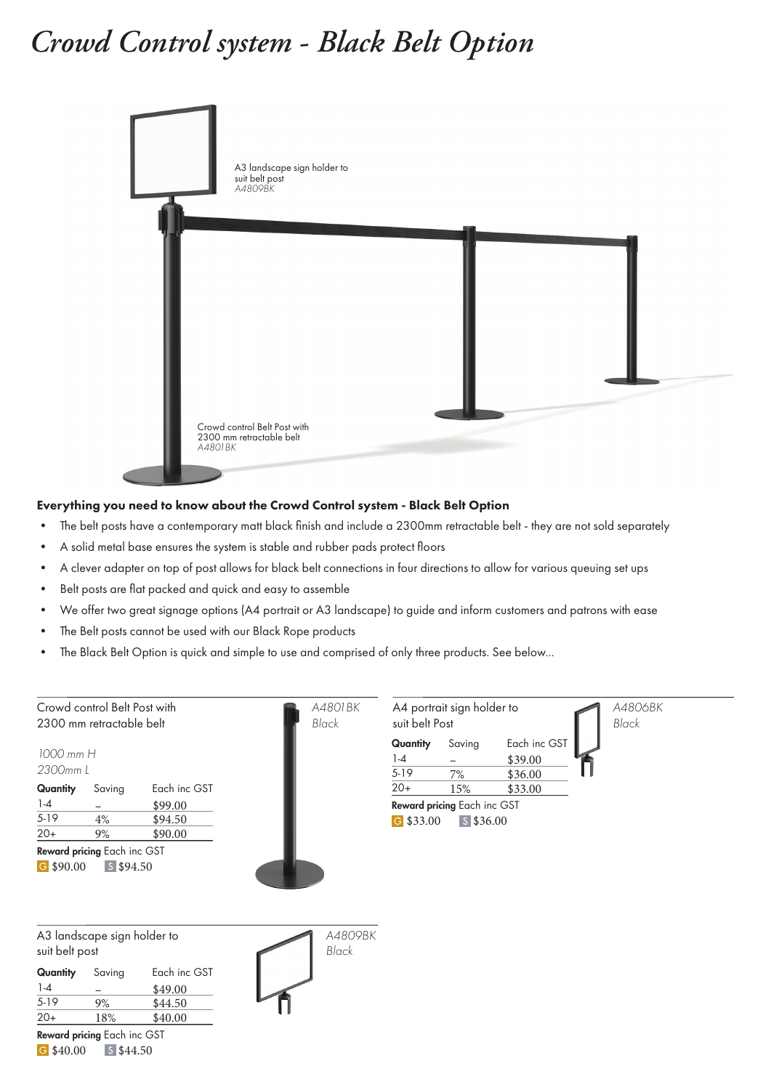## *Crowd Control system* **-** *Black Belt Option*



## Everything you need to know about the Crowd Control system - Black Belt Option

- The belt posts have a contemporary matt black finish and include a 2300mm retractable belt they are not sold separately
- A solid metal base ensures the system is stable and rubber pads protect floors
- A clever adapter on top of post allows for black belt connections in four directions to allow for various queuing set ups
- Belt posts are flat packed and quick and easy to assemble
- We offer two great signage options (A4 portrait or A3 landscape) to guide and inform customers and patrons with ease
- The Belt posts cannot be used with our Black Rope products
- The Black Belt Option is quick and simple to use and comprised of only three products. See below...